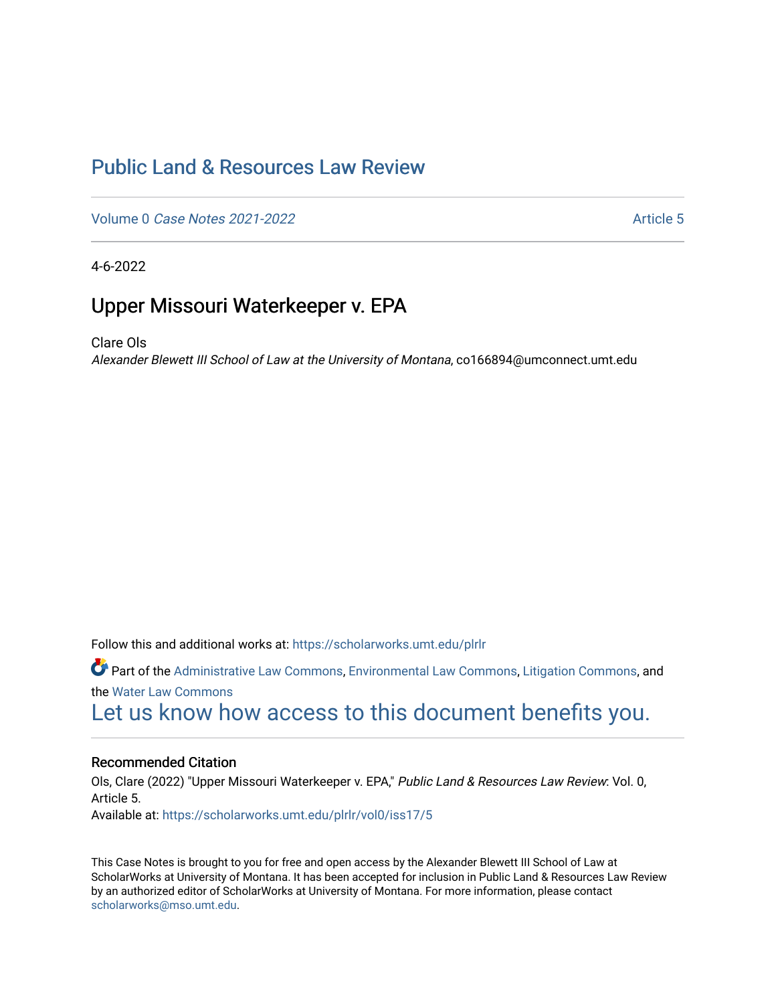# [Public Land & Resources Law Review](https://scholarworks.umt.edu/plrlr)

Volume 0 [Case Notes 2021-2022](https://scholarworks.umt.edu/plrlr/vol0) Article 5

4-6-2022

## Upper Missouri Waterkeeper v. EPA

Clare Ols

Alexander Blewett III School of Law at the University of Montana, co166894@umconnect.umt.edu

Follow this and additional works at: [https://scholarworks.umt.edu/plrlr](https://scholarworks.umt.edu/plrlr?utm_source=scholarworks.umt.edu%2Fplrlr%2Fvol0%2Fiss17%2F5&utm_medium=PDF&utm_campaign=PDFCoverPages) 

Part of the [Administrative Law Commons,](http://network.bepress.com/hgg/discipline/579?utm_source=scholarworks.umt.edu%2Fplrlr%2Fvol0%2Fiss17%2F5&utm_medium=PDF&utm_campaign=PDFCoverPages) [Environmental Law Commons](http://network.bepress.com/hgg/discipline/599?utm_source=scholarworks.umt.edu%2Fplrlr%2Fvol0%2Fiss17%2F5&utm_medium=PDF&utm_campaign=PDFCoverPages), [Litigation Commons,](http://network.bepress.com/hgg/discipline/910?utm_source=scholarworks.umt.edu%2Fplrlr%2Fvol0%2Fiss17%2F5&utm_medium=PDF&utm_campaign=PDFCoverPages) and the [Water Law Commons](http://network.bepress.com/hgg/discipline/887?utm_source=scholarworks.umt.edu%2Fplrlr%2Fvol0%2Fiss17%2F5&utm_medium=PDF&utm_campaign=PDFCoverPages)  [Let us know how access to this document benefits you.](https://goo.gl/forms/s2rGfXOLzz71qgsB2) 

## Recommended Citation

Ols, Clare (2022) "Upper Missouri Waterkeeper v. EPA," Public Land & Resources Law Review: Vol. 0, Article 5. Available at: [https://scholarworks.umt.edu/plrlr/vol0/iss17/5](https://scholarworks.umt.edu/plrlr/vol0/iss17/5?utm_source=scholarworks.umt.edu%2Fplrlr%2Fvol0%2Fiss17%2F5&utm_medium=PDF&utm_campaign=PDFCoverPages)

This Case Notes is brought to you for free and open access by the Alexander Blewett III School of Law at ScholarWorks at University of Montana. It has been accepted for inclusion in Public Land & Resources Law Review by an authorized editor of ScholarWorks at University of Montana. For more information, please contact [scholarworks@mso.umt.edu.](mailto:scholarworks@mso.umt.edu)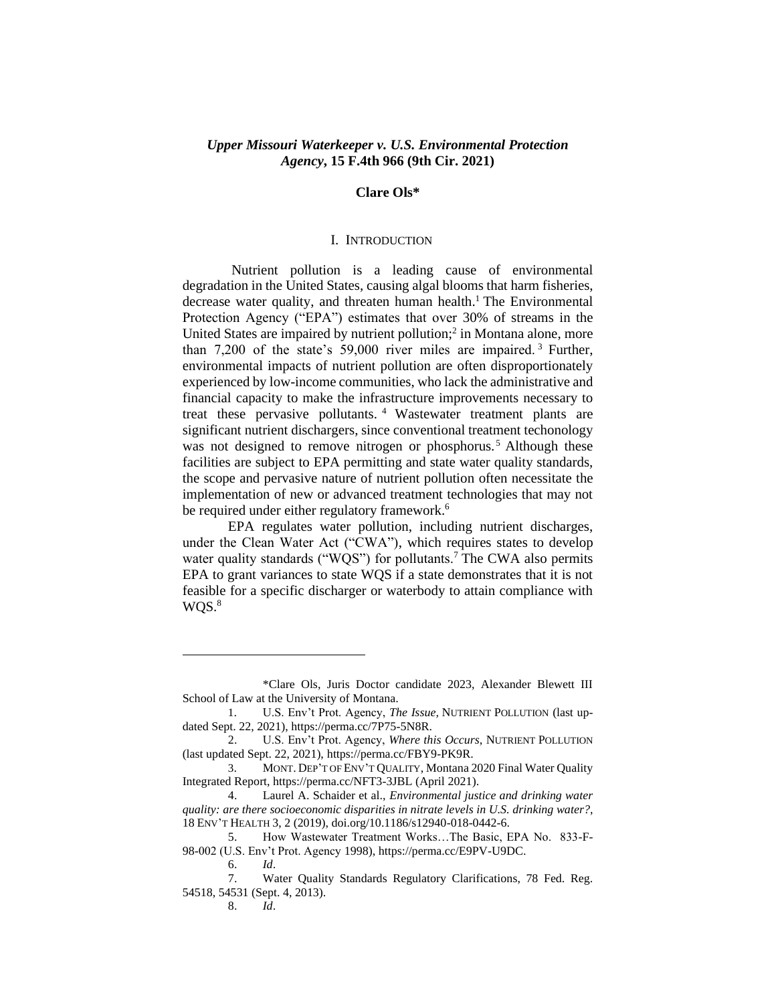## *Upper Missouri Waterkeeper v. U.S. Environmental Protection Agency***, 15 F.4th 966 (9th Cir. 2021)**

#### **Clare Ols\***

#### I. INTRODUCTION

Nutrient pollution is a leading cause of environmental degradation in the United States, causing algal blooms that harm fisheries, decrease water quality, and threaten human health. <sup>1</sup> The Environmental Protection Agency ("EPA") estimates that over 30% of streams in the United States are impaired by nutrient pollution; 2 in Montana alone, more than 7,200 of the state's 59,000 river miles are impaired. <sup>3</sup> Further, environmental impacts of nutrient pollution are often disproportionately experienced by low-income communities, who lack the administrative and financial capacity to make the infrastructure improvements necessary to treat these pervasive pollutants. <sup>4</sup> Wastewater treatment plants are significant nutrient dischargers, since conventional treatment techonology was not designed to remove nitrogen or phosphorus.<sup>5</sup> Although these facilities are subject to EPA permitting and state water quality standards, the scope and pervasive nature of nutrient pollution often necessitate the implementation of new or advanced treatment technologies that may not be required under either regulatory framework.<sup>6</sup>

EPA regulates water pollution, including nutrient discharges, under the Clean Water Act ("CWA"), which requires states to develop water quality standards ("WQS") for pollutants.<sup>7</sup> The CWA also permits EPA to grant variances to state WQS if a state demonstrates that it is not feasible for a specific discharger or waterbody to attain compliance with  $WQS.<sup>8</sup>$ 

<sup>\*</sup>Clare Ols, Juris Doctor candidate 2023, Alexander Blewett III School of Law at the University of Montana.

<sup>1</sup>. U.S. Env't Prot. Agency, *The Issue,* NUTRIENT POLLUTION (last updated Sept. 22, 2021), https://perma.cc/7P75-5N8R.

<sup>2.</sup> U.S. Env't Prot. Agency, *Where this Occurs*, NUTRIENT POLLUTION (last updated Sept. 22, 2021), https://perma.cc/FBY9-PK9R.

<sup>3</sup>. MONT. DEP'T OF ENV'T QUALITY, Montana 2020 Final Water Quality Integrated Report, https://perma.cc/NFT3-3JBL (April 2021).

<sup>4.</sup> Laurel A. Schaider et al., *Environmental justice and drinking water quality: are there socioeconomic disparities in nitrate levels in U.S. drinking water?*, 18 ENV'T HEALTH 3, 2 (2019), doi.org/10.1186/s12940-018-0442-6.

<sup>5.</sup> How Wastewater Treatment Works…The Basic, EPA No. 833-F-98-002 (U.S. Env't Prot. Agency 1998), https://perma.cc/E9PV-U9DC.

<sup>6.</sup> *Id*.

<sup>7.</sup> Water Quality Standards Regulatory Clarifications, 78 Fed. Reg. 54518, 54531 (Sept. 4, 2013).

<sup>8.</sup> *Id*.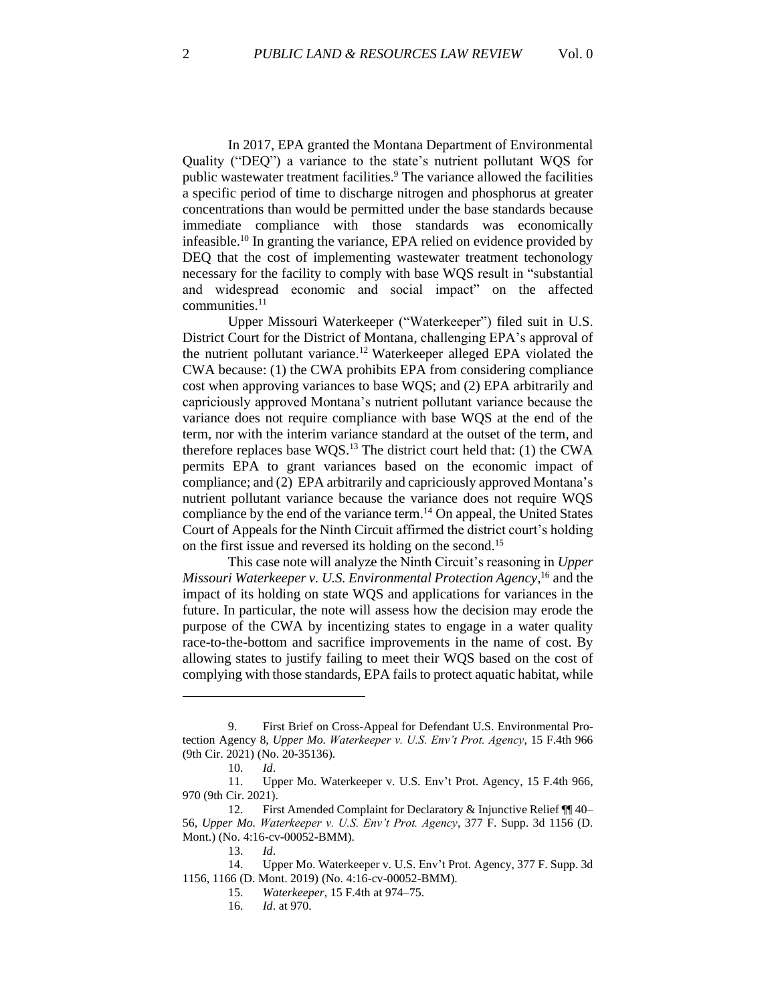In 2017, EPA granted the Montana Department of Environmental Quality ("DEQ") a variance to the state's nutrient pollutant WQS for public wastewater treatment facilities. <sup>9</sup> The variance allowed the facilities a specific period of time to discharge nitrogen and phosphorus at greater concentrations than would be permitted under the base standards because immediate compliance with those standards was economically infeasible. <sup>10</sup> In granting the variance, EPA relied on evidence provided by DEQ that the cost of implementing wastewater treatment techonology necessary for the facility to comply with base WQS result in "substantial and widespread economic and social impact" on the affected communities.<sup>11</sup>

Upper Missouri Waterkeeper ("Waterkeeper") filed suit in U.S. District Court for the District of Montana, challenging EPA's approval of the nutrient pollutant variance. <sup>12</sup> Waterkeeper alleged EPA violated the CWA because: (1) the CWA prohibits EPA from considering compliance cost when approving variances to base WQS; and (2) EPA arbitrarily and capriciously approved Montana's nutrient pollutant variance because the variance does not require compliance with base WQS at the end of the term, nor with the interim variance standard at the outset of the term, and therefore replaces base WQS. <sup>13</sup> The district court held that: (1) the CWA permits EPA to grant variances based on the economic impact of compliance; and (2) EPA arbitrarily and capriciously approved Montana's nutrient pollutant variance because the variance does not require WQS compliance by the end of the variance term.<sup>14</sup> On appeal, the United States Court of Appeals for the Ninth Circuit affirmed the district court's holding on the first issue and reversed its holding on the second. 15

This case note will analyze the Ninth Circuit's reasoning in *Upper Missouri Waterkeeper v. U.S. Environmental Protection Agency*, <sup>16</sup> and the impact of its holding on state WQS and applications for variances in the future. In particular, the note will assess how the decision may erode the purpose of the CWA by incentizing states to engage in a water quality race-to-the-bottom and sacrifice improvements in the name of cost. By allowing states to justify failing to meet their WQS based on the cost of complying with those standards, EPA fails to protect aquatic habitat, while

<sup>9.</sup> First Brief on Cross-Appeal for Defendant U.S. Environmental Protection Agency 8, *Upper Mo. Waterkeeper v. U.S. Env't Prot. Agency*, 15 F.4th 966 (9th Cir. 2021) (No. 20-35136).

<sup>10.</sup> *Id*.

<sup>11.</sup> Upper Mo. Waterkeeper v. U.S. Env't Prot. Agency, 15 F.4th 966, 970 (9th Cir. 2021).

<sup>12.</sup> First Amended Complaint for Declaratory & Injunctive Relief ¶¶ 40– 56, *Upper Mo. Waterkeeper v. U.S. Env't Prot. Agency*, 377 F. Supp. 3d 1156 (D. Mont.) (No. 4:16-cv-00052-BMM).

<sup>13.</sup> *Id*.

<sup>14.</sup> Upper Mo. Waterkeeper v. U.S. Env't Prot. Agency, 377 F. Supp. 3d 1156, 1166 (D. Mont. 2019) (No. 4:16-cv-00052-BMM).

<sup>15.</sup> *Waterkeeper*, 15 F.4th at 974–75.

<sup>16.</sup> *Id*. at 970.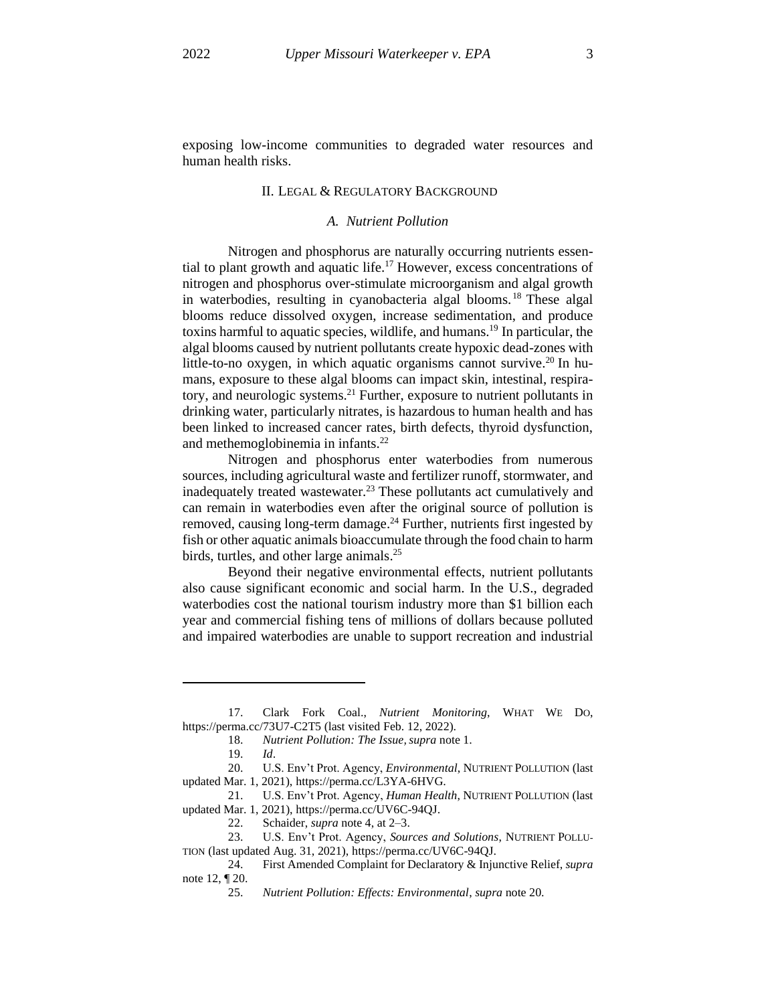exposing low-income communities to degraded water resources and human health risks.

### II. LEGAL & REGULATORY BACKGROUND

## *A. Nutrient Pollution*

Nitrogen and phosphorus are naturally occurring nutrients essential to plant growth and aquatic life.<sup>17</sup> However, excess concentrations of nitrogen and phosphorus over-stimulate microorganism and algal growth in waterbodies, resulting in cyanobacteria algal blooms. <sup>18</sup> These algal blooms reduce dissolved oxygen, increase sedimentation, and produce toxins harmful to aquatic species, wildlife, and humans. <sup>19</sup> In particular, the algal blooms caused by nutrient pollutants create hypoxic dead-zones with little-to-no oxygen, in which aquatic organisms cannot survive.<sup>20</sup> In humans, exposure to these algal blooms can impact skin, intestinal, respiratory, and neurologic systems. <sup>21</sup> Further, exposure to nutrient pollutants in drinking water, particularly nitrates, is hazardous to human health and has been linked to increased cancer rates, birth defects, thyroid dysfunction, and methemoglobinemia in infants.<sup>22</sup>

Nitrogen and phosphorus enter waterbodies from numerous sources, including agricultural waste and fertilizer runoff, stormwater, and inadequately treated wastewater.<sup>23</sup> These pollutants act cumulatively and can remain in waterbodies even after the original source of pollution is removed, causing long-term damage.<sup>24</sup> Further, nutrients first ingested by fish or other aquatic animals bioaccumulate through the food chain to harm birds, turtles, and other large animals.<sup>25</sup>

Beyond their negative environmental effects, nutrient pollutants also cause significant economic and social harm. In the U.S., degraded waterbodies cost the national tourism industry more than \$1 billion each year and commercial fishing tens of millions of dollars because polluted and impaired waterbodies are unable to support recreation and industrial

24. First Amended Complaint for Declaratory & Injunctive Relief, *supra* note 12, ¶ 20.

<sup>17.</sup> Clark Fork Coal., *Nutrient Monitoring*, WHAT WE DO, https://perma.cc/73U7-C2T5 (last visited Feb. 12, 2022).

<sup>18.</sup> *Nutrient Pollution: The Issue, supra* note 1.

<sup>19.</sup> *Id*.

<sup>20.</sup> U.S. Env't Prot. Agency, *Environmental*, NUTRIENT POLLUTION (last updated Mar. 1, 2021), https://perma.cc/L3YA-6HVG.

<sup>21.</sup> U.S. Env't Prot. Agency, *Human Health*, NUTRIENT POLLUTION (last updated Mar. 1, 2021), https://perma.cc/UV6C-94QJ.

<sup>22.</sup> Schaider, *supra* note 4, at 2–3.

<sup>23.</sup> U.S. Env't Prot. Agency, *Sources and Solutions*, NUTRIENT POLLU-TION (last updated Aug. 31, 2021), https://perma.cc/UV6C-94QJ.

<sup>25.</sup> *Nutrient Pollution: Effects: Environmental*, *supra* note 20.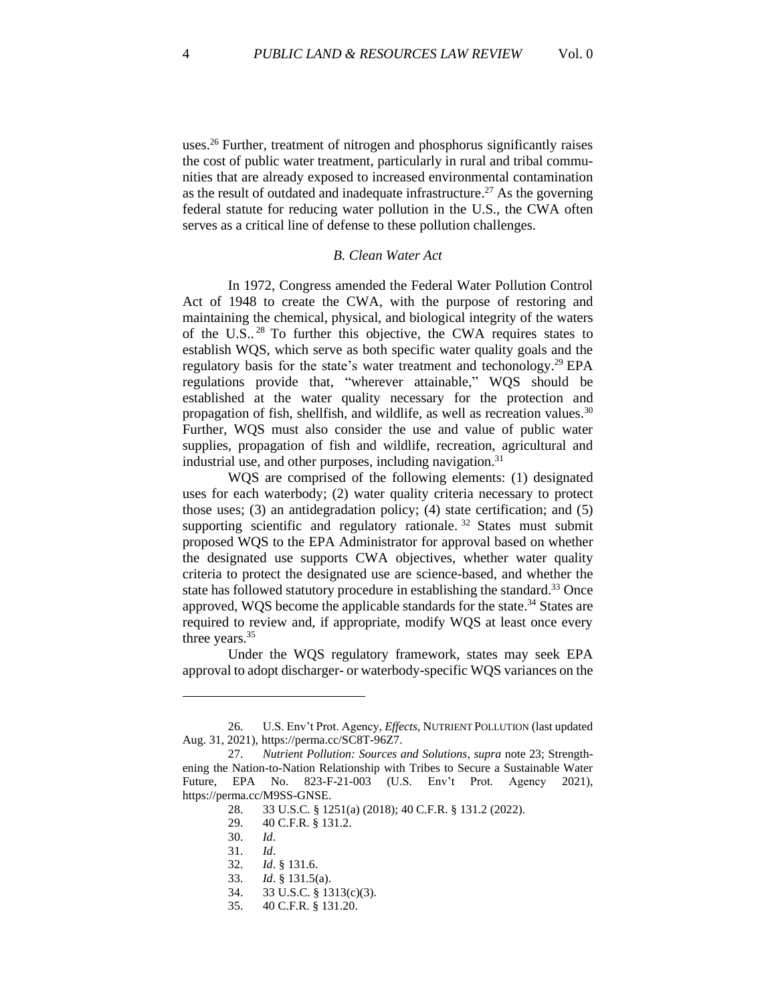uses.<sup>26</sup> Further, treatment of nitrogen and phosphorus significantly raises the cost of public water treatment, particularly in rural and tribal communities that are already exposed to increased environmental contamination as the result of outdated and inadequate infrastructure.<sup>27</sup> As the governing federal statute for reducing water pollution in the U.S., the CWA often serves as a critical line of defense to these pollution challenges.

#### *B. Clean Water Act*

In 1972, Congress amended the Federal Water Pollution Control Act of 1948 to create the CWA, with the purpose of restoring and maintaining the chemical, physical, and biological integrity of the waters of the U.S.. <sup>28</sup> To further this objective, the CWA requires states to establish WQS, which serve as both specific water quality goals and the regulatory basis for the state's water treatment and techonology.<sup>29</sup> EPA regulations provide that, "wherever attainable," WQS should be established at the water quality necessary for the protection and propagation of fish, shellfish, and wildlife, as well as recreation values.<sup>30</sup> Further, WQS must also consider the use and value of public water supplies, propagation of fish and wildlife, recreation, agricultural and industrial use, and other purposes, including navigation.<sup>31</sup>

WQS are comprised of the following elements: (1) designated uses for each waterbody; (2) water quality criteria necessary to protect those uses; (3) an antidegradation policy; (4) state certification; and (5) supporting scientific and regulatory rationale.<sup>32</sup> States must submit proposed WQS to the EPA Administrator for approval based on whether the designated use supports CWA objectives, whether water quality criteria to protect the designated use are science-based, and whether the state has followed statutory procedure in establishing the standard.<sup>33</sup> Once approved, WQS become the applicable standards for the state.<sup>34</sup> States are required to review and, if appropriate, modify WQS at least once every three years.<sup>35</sup>

Under the WQS regulatory framework, states may seek EPA approval to adopt discharger- or waterbody-specific WQS variances on the

34. 33 U.S.C. § 1313(c)(3).

<sup>26.</sup> U.S. Env't Prot. Agency, *Effects*, NUTRIENT POLLUTION (last updated Aug. 31, 2021), https://perma.cc/SC8T-96Z7.

<sup>27.</sup> *Nutrient Pollution: Sources and Solutions*, *supra* note 23; Strengthening the Nation-to-Nation Relationship with Tribes to Secure a Sustainable Water Future, EPA No. 823-F-21-003 (U.S. Env't Prot. Agency 2021), https://perma.cc/M9SS-GNSE.

<sup>28.</sup> 33 U.S.C. § 1251(a) (2018); 40 C.F.R. § 131.2 (2022).

<sup>29.</sup> 40 C.F.R. § 131.2.

<sup>30.</sup> *Id*.

<sup>31.</sup> *Id*.

<sup>32.</sup> *Id*. § 131.6.

<sup>33.</sup> *Id*. § 131.5(a).

<sup>35.</sup> 40 C.F.R. § 131.20.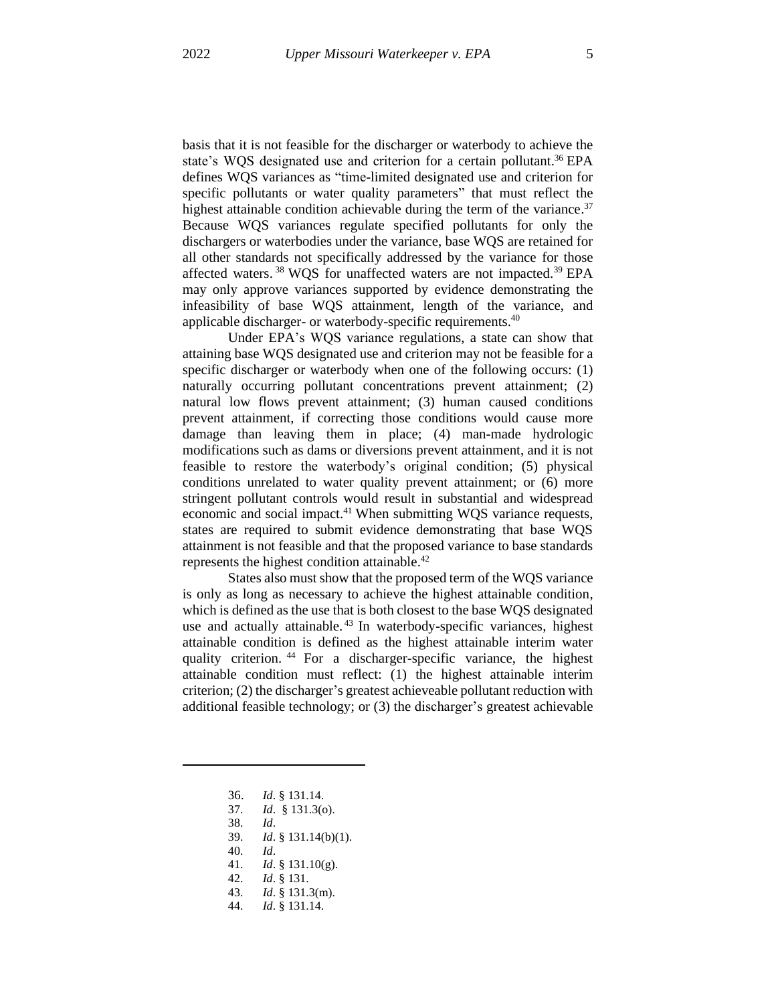basis that it is not feasible for the discharger or waterbody to achieve the state's WQS designated use and criterion for a certain pollutant.<sup>36</sup> EPA defines WQS variances as "time-limited designated use and criterion for specific pollutants or water quality parameters" that must reflect the highest attainable condition achievable during the term of the variance.<sup>37</sup> Because WQS variances regulate specified pollutants for only the dischargers or waterbodies under the variance, base WQS are retained for all other standards not specifically addressed by the variance for those affected waters.<sup>38</sup> WQS for unaffected waters are not impacted.<sup>39</sup> EPA may only approve variances supported by evidence demonstrating the infeasibility of base WQS attainment, length of the variance, and applicable discharger- or waterbody-specific requirements.<sup>40</sup>

Under EPA's WQS variance regulations, a state can show that attaining base WQS designated use and criterion may not be feasible for a specific discharger or waterbody when one of the following occurs: (1) naturally occurring pollutant concentrations prevent attainment; (2) natural low flows prevent attainment; (3) human caused conditions prevent attainment, if correcting those conditions would cause more damage than leaving them in place; (4) man-made hydrologic modifications such as dams or diversions prevent attainment, and it is not feasible to restore the waterbody's original condition; (5) physical conditions unrelated to water quality prevent attainment; or (6) more stringent pollutant controls would result in substantial and widespread economic and social impact.<sup>41</sup> When submitting WQS variance requests, states are required to submit evidence demonstrating that base WQS attainment is not feasible and that the proposed variance to base standards represents the highest condition attainable. 42

States also must show that the proposed term of the WQS variance is only as long as necessary to achieve the highest attainable condition, which is defined as the use that is both closest to the base WQS designated use and actually attainable.<sup>43</sup> In waterbody-specific variances, highest attainable condition is defined as the highest attainable interim water quality criterion. <sup>44</sup> For a discharger-specific variance, the highest attainable condition must reflect: (1) the highest attainable interim criterion; (2) the discharger's greatest achieveable pollutant reduction with additional feasible technology; or (3) the discharger's greatest achievable

- 37. *Id*. § 131.3(o).
- 38. *Id*.
- 39. *Id*. § 131.14(b)(1).
- 40. *Id*.
- 41. *Id*. § 131.10(g).
- 42. *Id*. § 131.
- 43. *Id*. § 131.3(m).
- 44. *Id*. § 131.14.

<sup>36.</sup> *Id*. § 131.14.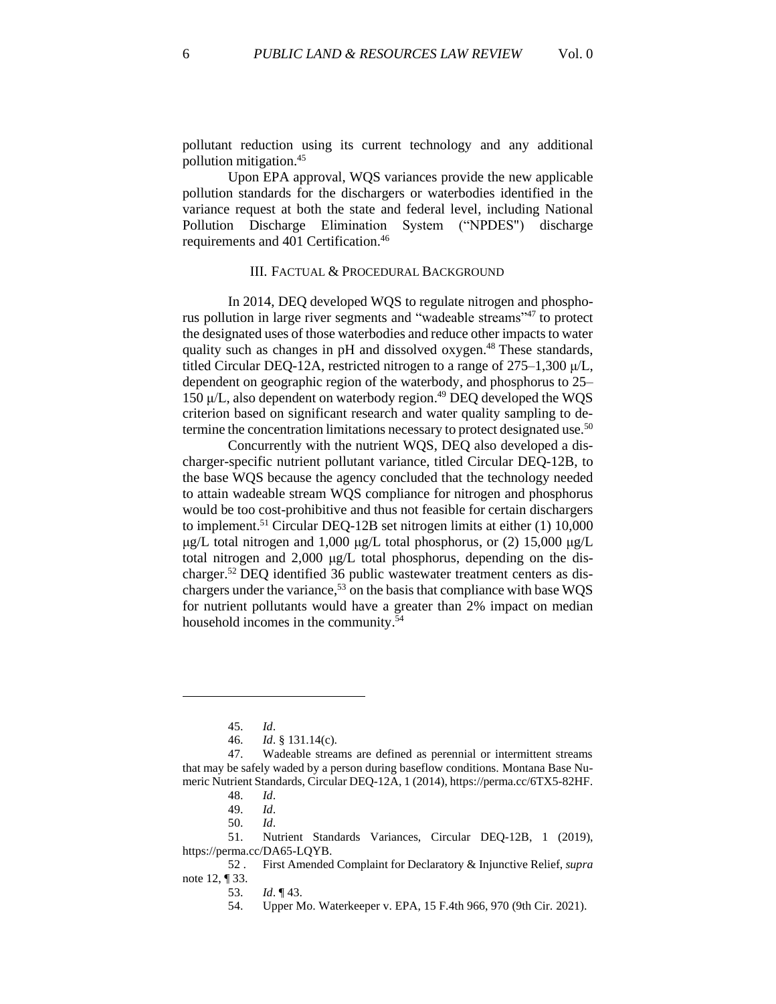pollutant reduction using its current technology and any additional pollution mitigation. 45

Upon EPA approval, WQS variances provide the new applicable pollution standards for the dischargers or waterbodies identified in the variance request at both the state and federal level, including National Pollution Discharge Elimination System ("NPDES") discharge requirements and 401 Certification. 46

## III. FACTUAL & PROCEDURAL BACKGROUND

In 2014, DEQ developed WQS to regulate nitrogen and phosphorus pollution in large river segments and "wadeable streams"<sup>47</sup> to protect the designated uses of those waterbodies and reduce other impacts to water quality such as changes in pH and dissolved oxygen.<sup>48</sup> These standards, titled Circular DEQ-12A, restricted nitrogen to a range of  $275-1,300 \mu/L$ , dependent on geographic region of the waterbody, and phosphorus to 25– 150 μ/L, also dependent on waterbody region. <sup>49</sup> DEQ developed the WQS criterion based on significant research and water quality sampling to determine the concentration limitations necessary to protect designated use.<sup>50</sup>

Concurrently with the nutrient WQS, DEQ also developed a discharger-specific nutrient pollutant variance, titled Circular DEQ-12B, to the base WQS because the agency concluded that the technology needed to attain wadeable stream WQS compliance for nitrogen and phosphorus would be too cost-prohibitive and thus not feasible for certain dischargers to implement.<sup>51</sup> Circular DEQ-12B set nitrogen limits at either (1) 10,000 μg/L total nitrogen and 1,000 μg/L total phosphorus, or  $(2)$  15,000 μg/L total nitrogen and 2,000 μg/L total phosphorus, depending on the discharger.<sup>52</sup> DEQ identified 36 public wastewater treatment centers as dischargers under the variance,<sup>53</sup> on the basis that compliance with base WQS for nutrient pollutants would have a greater than 2% impact on median household incomes in the community. 54

<sup>45.</sup> *Id*.

<sup>46.</sup> *Id*. § 131.14(c).

<sup>47.</sup> Wadeable streams are defined as perennial or intermittent streams that may be safely waded by a person during baseflow conditions. Montana Base Numeric Nutrient Standards, Circular DEQ-12A, 1 (2014), https://perma.cc/6TX5-82HF.

<sup>48.</sup> *Id*.

<sup>49.</sup> *Id*.

<sup>50.</sup> *Id*.

<sup>51.</sup> Nutrient Standards Variances, Circular DEQ-12B, 1 (2019), https://perma.cc/DA65-LQYB.

<sup>52</sup> . First Amended Complaint for Declaratory & Injunctive Relief, *supra* note 12, ¶ 33.

<sup>53.</sup> *Id*. ¶ 43.

<sup>54.</sup> Upper Mo. Waterkeeper v. EPA, 15 F.4th 966, 970 (9th Cir. 2021).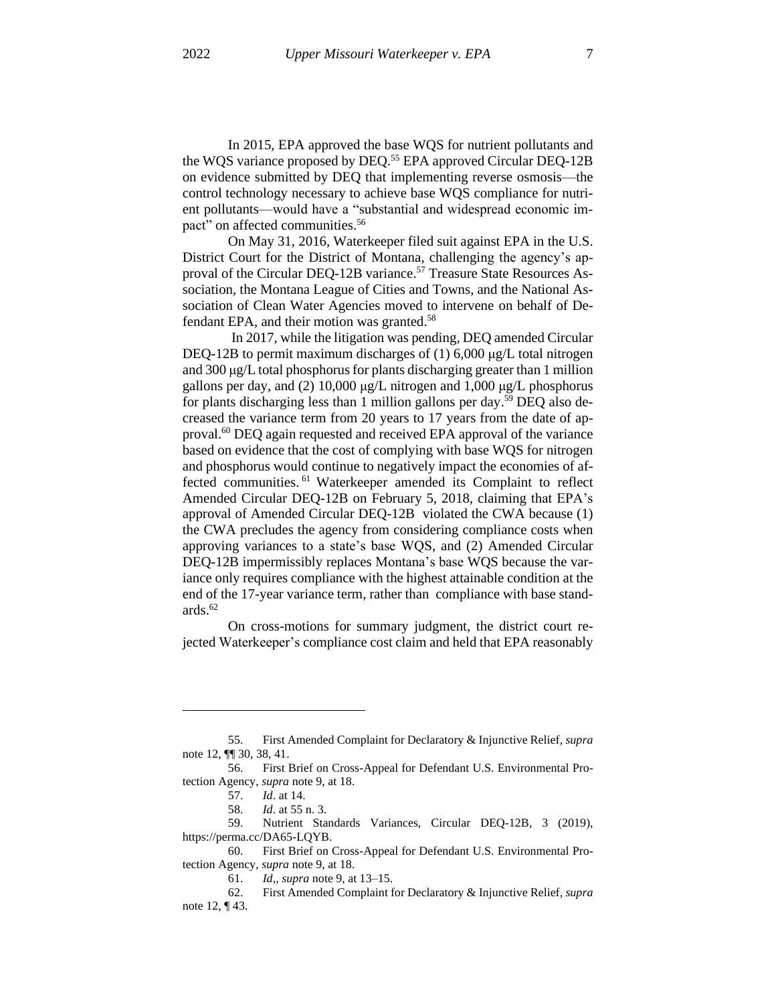In 2015, EPA approved the base WQS for nutrient pollutants and the WQS variance proposed by DEQ. <sup>55</sup> EPA approved Circular DEQ-12B on evidence submitted by DEQ that implementing reverse osmosis—the control technology necessary to achieve base WQS compliance for nutrient pollutants—would have a "substantial and widespread economic impact" on affected communities.<sup>56</sup>

On May 31, 2016, Waterkeeper filed suit against EPA in the U.S. District Court for the District of Montana, challenging the agency's approval of the Circular DEQ-12B variance.<sup>57</sup> Treasure State Resources Association, the Montana League of Cities and Towns, and the National Association of Clean Water Agencies moved to intervene on behalf of Defendant EPA, and their motion was granted.<sup>58</sup>

In 2017, while the litigation was pending, DEQ amended Circular DEQ-12B to permit maximum discharges of (1) 6,000 μg/L total nitrogen and 300 μg/L total phosphorus for plants discharging greater than 1 million gallons per day, and (2) 10,000 μg/L nitrogen and 1,000 μg/L phosphorus for plants discharging less than 1 million gallons per day. <sup>59</sup> DEQ also decreased the variance term from 20 years to 17 years from the date of approval.<sup>60</sup> DEQ again requested and received EPA approval of the variance based on evidence that the cost of complying with base WQS for nitrogen and phosphorus would continue to negatively impact the economies of affected communities. <sup>61</sup> Waterkeeper amended its Complaint to reflect Amended Circular DEQ-12B on February 5, 2018, claiming that EPA's approval of Amended Circular DEQ-12B violated the CWA because (1) the CWA precludes the agency from considering compliance costs when approving variances to a state's base WQS, and (2) Amended Circular DEQ-12B impermissibly replaces Montana's base WQS because the variance only requires compliance with the highest attainable condition at the end of the 17-year variance term, rather than compliance with base standards. 62

On cross-motions for summary judgment, the district court rejected Waterkeeper's compliance cost claim and held that EPA reasonably

<sup>55.</sup> First Amended Complaint for Declaratory & Injunctive Relief*, supra* note 12, ¶¶ 30, 38, 41.

<sup>56.</sup> First Brief on Cross-Appeal for Defendant U.S. Environmental Protection Agency, *supra* note 9, at 18.

<sup>57.</sup> *Id*. at 14.

<sup>58.</sup> *Id*. at 55 n. 3.

<sup>59.</sup> Nutrient Standards Variances, Circular DEQ-12B, 3 (2019), https://perma.cc/DA65-LQYB.

<sup>60.</sup> First Brief on Cross-Appeal for Defendant U.S. Environmental Protection Agency, *supra* note 9, at 18.

<sup>61.</sup> *Id,, supra* note 9, at 13–15.

<sup>62.</sup> First Amended Complaint for Declaratory & Injunctive Relief*, supra* note 12, ¶ 43.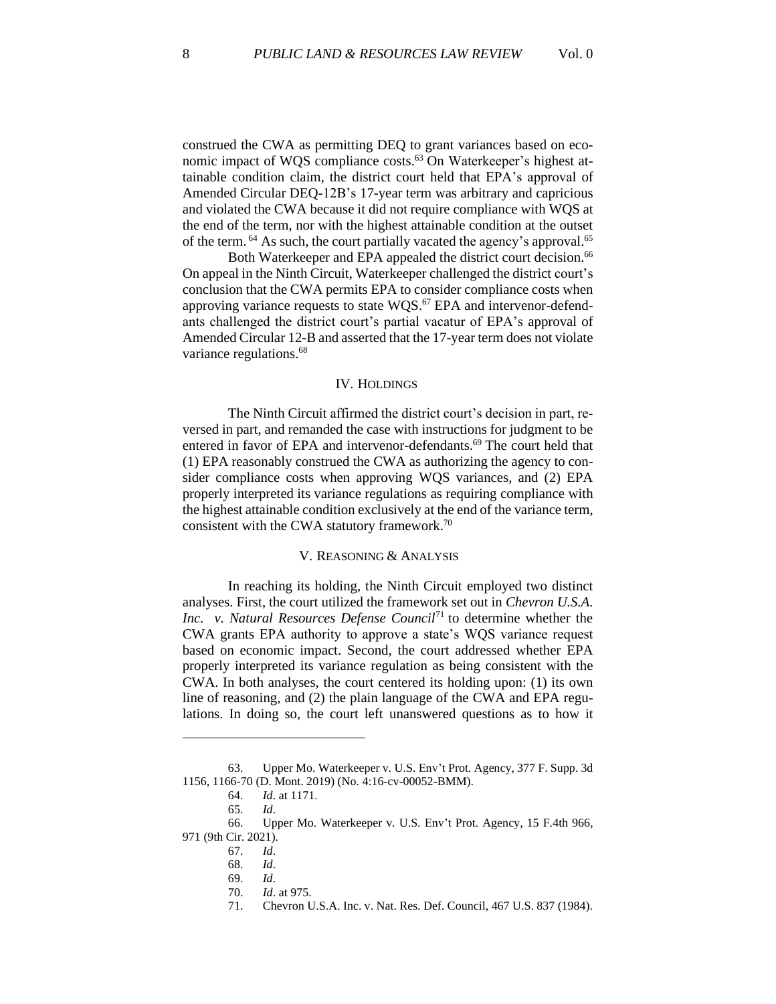construed the CWA as permitting DEQ to grant variances based on economic impact of WQS compliance costs.<sup>63</sup> On Waterkeeper's highest attainable condition claim, the district court held that EPA's approval of Amended Circular DEQ-12B's 17-year term was arbitrary and capricious and violated the CWA because it did not require compliance with WQS at the end of the term, nor with the highest attainable condition at the outset of the term. <sup>64</sup> As such, the court partially vacated the agency's approval.<sup>65</sup>

Both Waterkeeper and EPA appealed the district court decision.<sup>66</sup> On appeal in the Ninth Circuit, Waterkeeper challenged the district court's conclusion that the CWA permits EPA to consider compliance costs when approving variance requests to state  $WQS$ .<sup>67</sup> EPA and intervenor-defendants challenged the district court's partial vacatur of EPA's approval of Amended Circular 12-B and asserted that the 17-year term does not violate variance regulations. 68

#### IV. HOLDINGS

The Ninth Circuit affirmed the district court's decision in part, reversed in part, and remanded the case with instructions for judgment to be entered in favor of EPA and intervenor-defendants.<sup>69</sup> The court held that (1) EPA reasonably construed the CWA as authorizing the agency to consider compliance costs when approving WQS variances, and (2) EPA properly interpreted its variance regulations as requiring compliance with the highest attainable condition exclusively at the end of the variance term, consistent with the CWA statutory framework.<sup>70</sup>

## V. REASONING & ANALYSIS

In reaching its holding, the Ninth Circuit employed two distinct analyses. First, the court utilized the framework set out in *Chevron U.S.A. Inc. v. Natural Resources Defense Council*<sup>71</sup> to determine whether the CWA grants EPA authority to approve a state's WQS variance request based on economic impact. Second, the court addressed whether EPA properly interpreted its variance regulation as being consistent with the CWA. In both analyses, the court centered its holding upon: (1) its own line of reasoning, and (2) the plain language of the CWA and EPA regulations. In doing so, the court left unanswered questions as to how it

<sup>63.</sup> Upper Mo. Waterkeeper v. U.S. Env't Prot. Agency, 377 F. Supp. 3d 1156, 1166-70 (D. Mont. 2019) (No. 4:16-cv-00052-BMM).

<sup>64.</sup> *Id*. at 1171.

<sup>65.</sup> *Id*.

<sup>66.</sup> Upper Mo. Waterkeeper v. U.S. Env't Prot. Agency, 15 F.4th 966, 971 (9th Cir. 2021).

<sup>67.</sup> *Id*.

<sup>68.</sup> *Id*.

<sup>69.</sup> *Id*.

<sup>70.</sup> *Id*. at 975.

<sup>71.</sup> Chevron U.S.A. Inc. v. Nat. Res. Def. Council, 467 U.S. 837 (1984).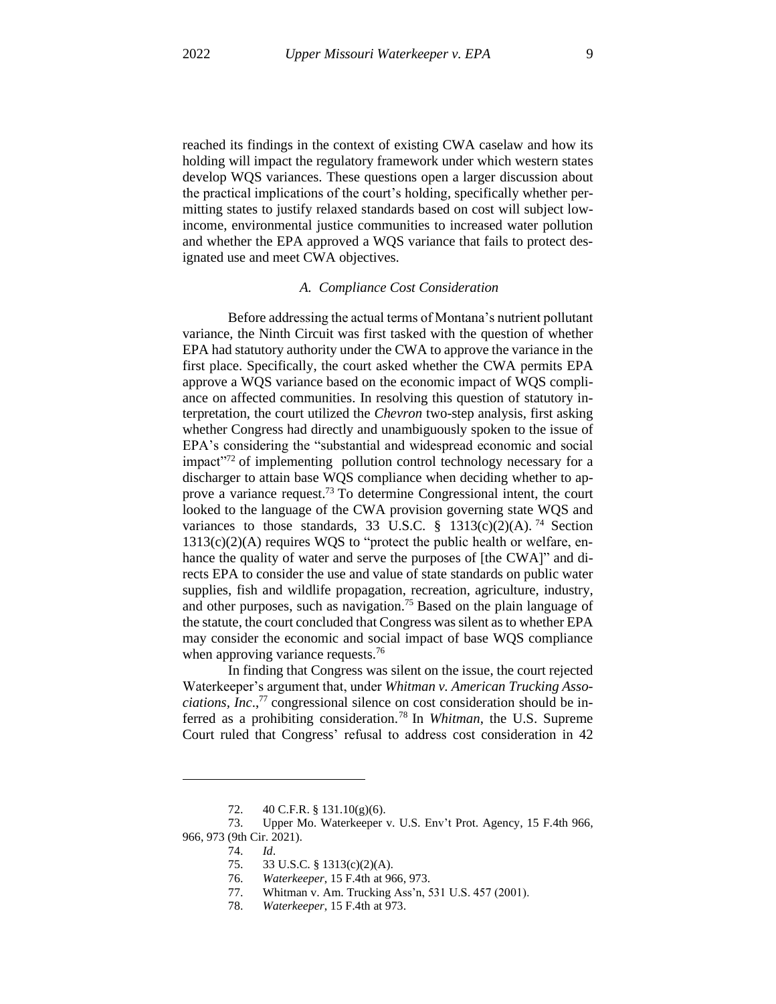reached its findings in the context of existing CWA caselaw and how its holding will impact the regulatory framework under which western states develop WQS variances. These questions open a larger discussion about the practical implications of the court's holding, specifically whether permitting states to justify relaxed standards based on cost will subject lowincome, environmental justice communities to increased water pollution and whether the EPA approved a WQS variance that fails to protect designated use and meet CWA objectives.

#### *A. Compliance Cost Consideration*

Before addressing the actual terms of Montana's nutrient pollutant variance, the Ninth Circuit was first tasked with the question of whether EPA had statutory authority under the CWA to approve the variance in the first place. Specifically, the court asked whether the CWA permits EPA approve a WQS variance based on the economic impact of WQS compliance on affected communities. In resolving this question of statutory interpretation, the court utilized the *Chevron* two-step analysis, first asking whether Congress had directly and unambiguously spoken to the issue of EPA's considering the "substantial and widespread economic and social impact"<sup>72</sup> of implementing pollution control technology necessary for a discharger to attain base WQS compliance when deciding whether to approve a variance request.<sup>73</sup> To determine Congressional intent, the court looked to the language of the CWA provision governing state WQS and variances to those standards, 33 U.S.C.  $\frac{1}{9}$  1313(c)(2)(A).<sup>74</sup> Section  $1313(c)(2)(A)$  requires WQS to "protect the public health or welfare, enhance the quality of water and serve the purposes of [the CWA]" and directs EPA to consider the use and value of state standards on public water supplies, fish and wildlife propagation, recreation, agriculture, industry, and other purposes, such as navigation.<sup>75</sup> Based on the plain language of the statute, the court concluded that Congress wassilent as to whether EPA may consider the economic and social impact of base WQS compliance when approving variance requests.<sup>76</sup>

In finding that Congress was silent on the issue, the court rejected Waterkeeper's argument that, under *Whitman v. American Trucking Associations, Inc*., <sup>77</sup> congressional silence on cost consideration should be inferred as a prohibiting consideration. <sup>78</sup> In *Whitman*, the U.S. Supreme Court ruled that Congress' refusal to address cost consideration in 42

<sup>72.</sup> 40 C.F.R. § 131.10(g)(6).

<sup>73.</sup> Upper Mo. Waterkeeper v. U.S. Env't Prot. Agency, 15 F.4th 966, 966, 973 (9th Cir. 2021).

<sup>74.</sup> *Id*.

<sup>75.</sup> 33 U.S.C. § 1313(c)(2)(A).

<sup>76.</sup> *Waterkeeper*, 15 F.4th at 966, 973.

<sup>77.</sup> Whitman v. Am. Trucking Ass'n, 531 U.S. 457 (2001).

<sup>78.</sup> *Waterkeeper*, 15 F.4th at 973.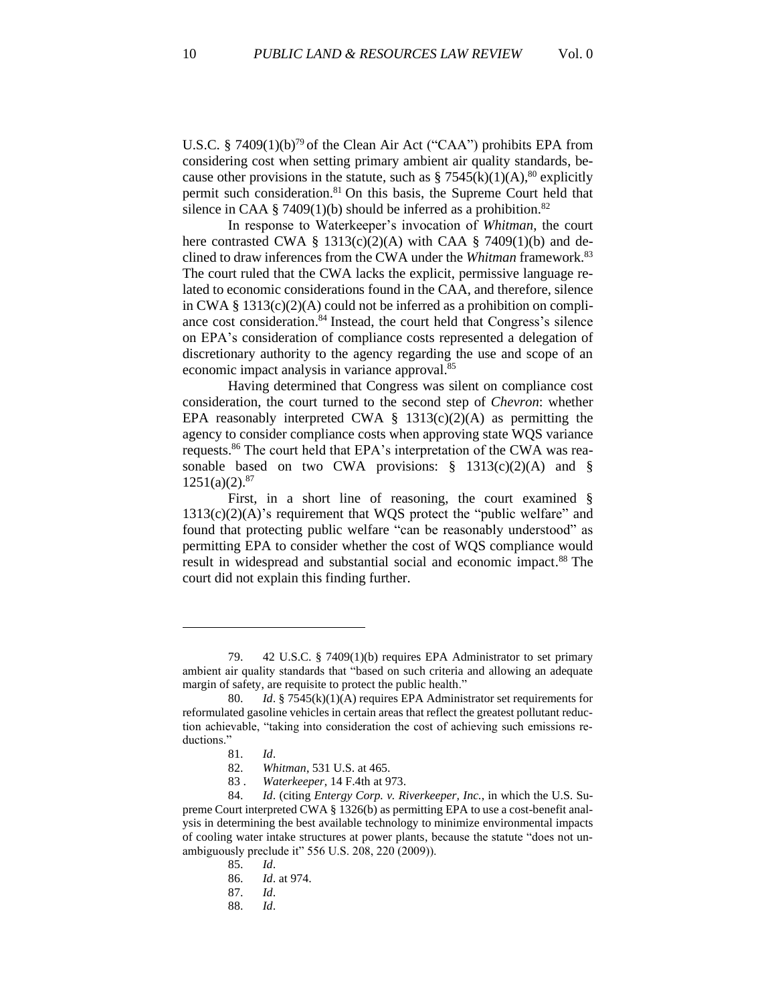U.S.C. § 7409 $(1)(b)^{79}$  of the Clean Air Act ("CAA") prohibits EPA from considering cost when setting primary ambient air quality standards, because other provisions in the statute, such as  $\S 7545(k)(1)(A)$ ,  $80$  explicitly permit such consideration.<sup>81</sup> On this basis, the Supreme Court held that silence in CAA § 7409(1)(b) should be inferred as a prohibition.<sup>82</sup>

In response to Waterkeeper's invocation of *Whitman*, the court here contrasted CWA § 1313(c)(2)(A) with CAA § 7409(1)(b) and declined to draw inferences from the CWA under the *Whitman* framework.<sup>83</sup> The court ruled that the CWA lacks the explicit, permissive language related to economic considerations found in the CAA, and therefore, silence in CWA  $\S$  1313(c)(2)(A) could not be inferred as a prohibition on compliance cost consideration. <sup>84</sup> Instead, the court held that Congress's silence on EPA's consideration of compliance costs represented a delegation of discretionary authority to the agency regarding the use and scope of an economic impact analysis in variance approval.<sup>85</sup>

Having determined that Congress was silent on compliance cost consideration, the court turned to the second step of *Chevron*: whether EPA reasonably interpreted CWA  $\S$  1313(c)(2)(A) as permitting the agency to consider compliance costs when approving state WQS variance requests. <sup>86</sup> The court held that EPA's interpretation of the CWA was reasonable based on two CWA provisions:  $\S$  1313(c)(2)(A) and  $\S$  $1251(a)(2).^{87}$ 

First, in a short line of reasoning, the court examined §  $1313(c)(2)(A)$ 's requirement that WQS protect the "public welfare" and found that protecting public welfare "can be reasonably understood" as permitting EPA to consider whether the cost of WQS compliance would result in widespread and substantial social and economic impact. <sup>88</sup> The court did not explain this finding further.

<sup>79.</sup> 42 U.S.C. § 7409(1)(b) requires EPA Administrator to set primary ambient air quality standards that "based on such criteria and allowing an adequate margin of safety, are requisite to protect the public health."

<sup>80.</sup> *Id*. § 7545(k)(1)(A) requires EPA Administrator set requirements for reformulated gasoline vehicles in certain areas that reflect the greatest pollutant reduction achievable, "taking into consideration the cost of achieving such emissions reductions."

<sup>81.</sup> *Id*.

<sup>82.</sup> *Whitman*, 531 U.S. at 465.

<sup>83</sup> . *Waterkeeper*, 14 F.4th at 973.

<sup>84.</sup> *Id*. (citing *Entergy Corp. v. Riverkeeper, Inc.*, in which the U.S. Supreme Court interpreted CWA § 1326(b) as permitting EPA to use a cost-benefit analysis in determining the best available technology to minimize environmental impacts of cooling water intake structures at power plants, because the statute "does not unambiguously preclude it" 556 U.S. 208, 220 (2009)).

<sup>85.</sup> *Id*.

<sup>86.</sup> *Id*. at 974.

<sup>87.</sup> *Id*.

<sup>88.</sup> *Id*.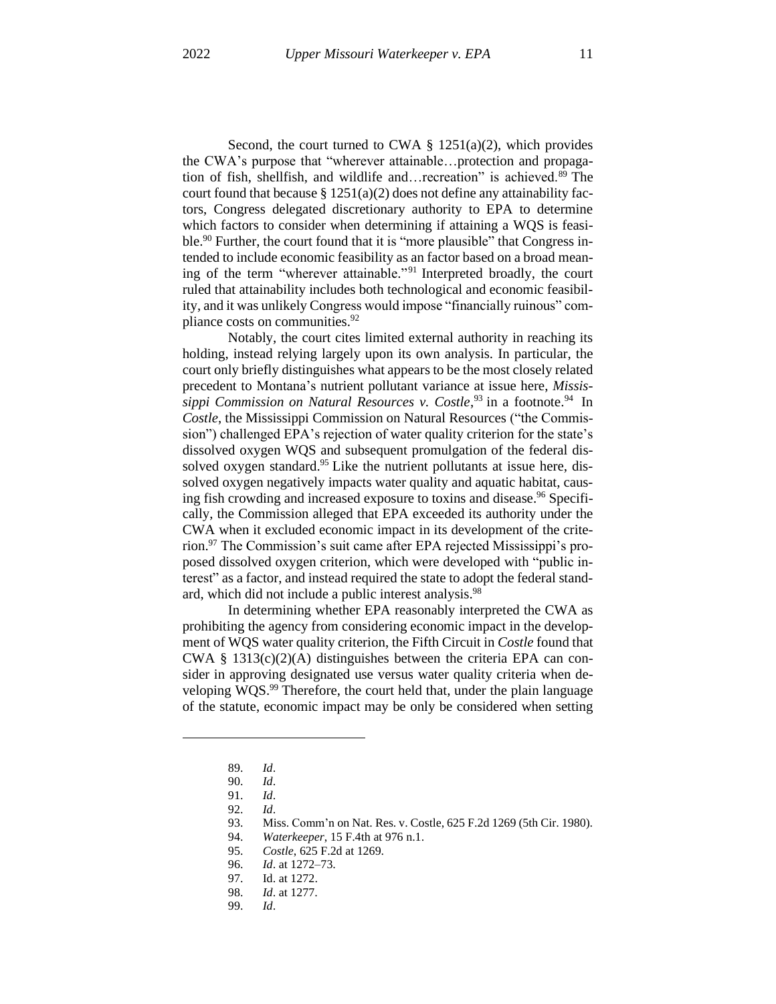Second, the court turned to CWA  $\S$  1251(a)(2), which provides the CWA's purpose that "wherever attainable…protection and propagation of fish, shellfish, and wildlife and…recreation" is achieved.<sup>89</sup> The court found that because  $\S 1251(a)(2)$  does not define any attainability factors, Congress delegated discretionary authority to EPA to determine which factors to consider when determining if attaining a WQS is feasible.<sup>90</sup> Further, the court found that it is "more plausible" that Congress intended to include economic feasibility as an factor based on a broad meaning of the term "wherever attainable." <sup>91</sup> Interpreted broadly, the court ruled that attainability includes both technological and economic feasibility, and it was unlikely Congress would impose "financially ruinous" compliance costs on communities.<sup>92</sup>

Notably, the court cites limited external authority in reaching its holding, instead relying largely upon its own analysis. In particular, the court only briefly distinguishes what appears to be the most closely related precedent to Montana's nutrient pollutant variance at issue here, *Mississippi Commission on Natural Resources v. Costle*, <sup>93</sup> in a footnote. <sup>94</sup> In *Costle*, the Mississippi Commission on Natural Resources ("the Commission") challenged EPA's rejection of water quality criterion for the state's dissolved oxygen WQS and subsequent promulgation of the federal dissolved oxygen standard.<sup>95</sup> Like the nutrient pollutants at issue here, dissolved oxygen negatively impacts water quality and aquatic habitat, causing fish crowding and increased exposure to toxins and disease.<sup>96</sup> Specifically, the Commission alleged that EPA exceeded its authority under the CWA when it excluded economic impact in its development of the criterion. <sup>97</sup> The Commission's suit came after EPA rejected Mississippi's proposed dissolved oxygen criterion, which were developed with "public interest" as a factor, and instead required the state to adopt the federal standard, which did not include a public interest analysis.<sup>98</sup>

In determining whether EPA reasonably interpreted the CWA as prohibiting the agency from considering economic impact in the development of WQS water quality criterion, the Fifth Circuit in *Costle* found that CWA  $\S$  1313(c)(2)(A) distinguishes between the criteria EPA can consider in approving designated use versus water quality criteria when developing WQS.<sup>99</sup> Therefore, the court held that, under the plain language of the statute, economic impact may be only be considered when setting

- 98. *Id*. at 1277.
- 99. *Id*.

<sup>89.</sup> *Id*.

<sup>90.</sup> *Id*.

<sup>91.</sup> *Id*.

<sup>92.</sup> *Id*.

<sup>93.</sup> Miss. Comm'n on Nat. Res. v. Costle, 625 F.2d 1269 (5th Cir. 1980).

<sup>94.</sup> *Waterkeeper*, 15 F.4th at 976 n.1.

<sup>95.</sup> *Costle*, 625 F.2d at 1269.

<sup>96.</sup> *Id*. at 1272–73.

<sup>97.</sup> Id. at 1272.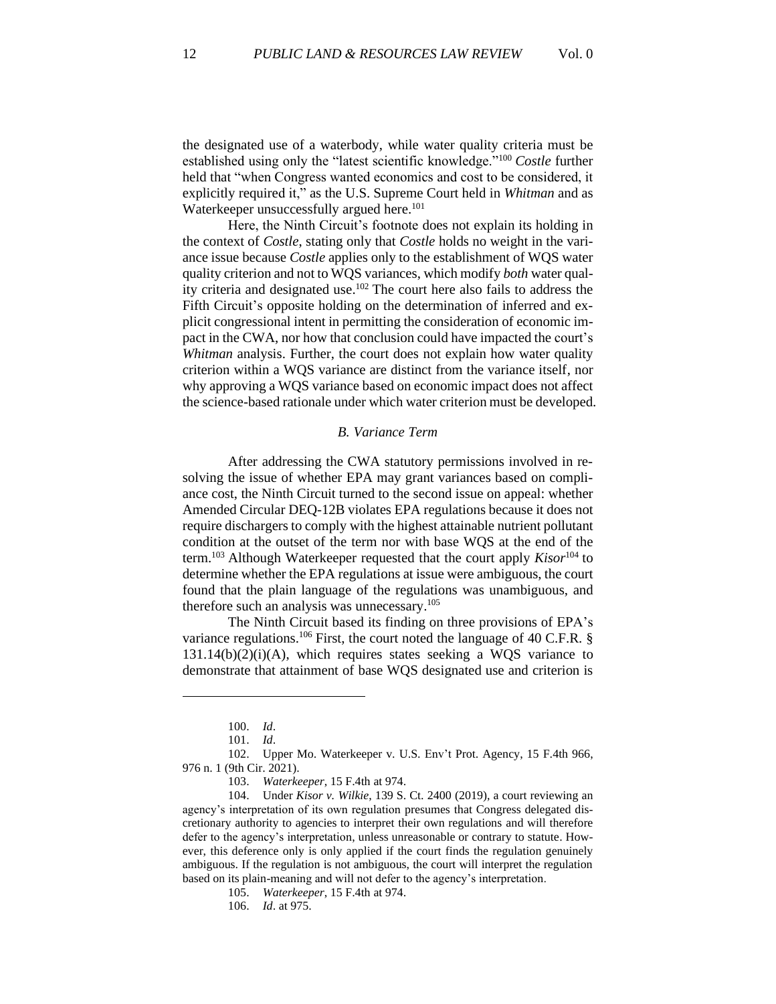the designated use of a waterbody, while water quality criteria must be established using only the "latest scientific knowledge."<sup>100</sup> *Costle* further held that "when Congress wanted economics and cost to be considered, it explicitly required it," as the U.S. Supreme Court held in *Whitman* and as Waterkeeper unsuccessfully argued here.<sup>101</sup>

Here, the Ninth Circuit's footnote does not explain its holding in the context of *Costle*, stating only that *Costle* holds no weight in the variance issue because *Costle* applies only to the establishment of WQS water quality criterion and not to WQS variances, which modify *both* water quality criteria and designated use. <sup>102</sup> The court here also fails to address the Fifth Circuit's opposite holding on the determination of inferred and explicit congressional intent in permitting the consideration of economic impact in the CWA, nor how that conclusion could have impacted the court's *Whitman* analysis. Further, the court does not explain how water quality criterion within a WQS variance are distinct from the variance itself, nor why approving a WQS variance based on economic impact does not affect the science-based rationale under which water criterion must be developed.

## *B. Variance Term*

After addressing the CWA statutory permissions involved in resolving the issue of whether EPA may grant variances based on compliance cost, the Ninth Circuit turned to the second issue on appeal: whether Amended Circular DEQ-12B violates EPA regulations because it does not require dischargers to comply with the highest attainable nutrient pollutant condition at the outset of the term nor with base WQS at the end of the term. <sup>103</sup> Although Waterkeeper requested that the court apply *Kisor*<sup>104</sup> to determine whether the EPA regulations at issue were ambiguous, the court found that the plain language of the regulations was unambiguous, and therefore such an analysis was unnecessary. 105

The Ninth Circuit based its finding on three provisions of EPA's variance regulations.<sup>106</sup> First, the court noted the language of 40 C.F.R.  $\S$  $131.14(b)(2)(i)(A)$ , which requires states seeking a WQS variance to demonstrate that attainment of base WQS designated use and criterion is

<sup>100.</sup> *Id*.

<sup>101.</sup> *Id*.

<sup>102.</sup> Upper Mo. Waterkeeper v. U.S. Env't Prot. Agency, 15 F.4th 966, 976 n. 1 (9th Cir. 2021).

<sup>103.</sup> *Waterkeeper*, 15 F.4th at 974.

<sup>104.</sup> Under *Kisor v. Wilkie*, 139 S. Ct. 2400 (2019), a court reviewing an agency's interpretation of its own regulation presumes that Congress delegated discretionary authority to agencies to interpret their own regulations and will therefore defer to the agency's interpretation, unless unreasonable or contrary to statute. However, this deference only is only applied if the court finds the regulation genuinely ambiguous. If the regulation is not ambiguous, the court will interpret the regulation based on its plain-meaning and will not defer to the agency's interpretation.

<sup>105.</sup> *Waterkeeper*, 15 F.4th at 974.

<sup>106.</sup> *Id*. at 975.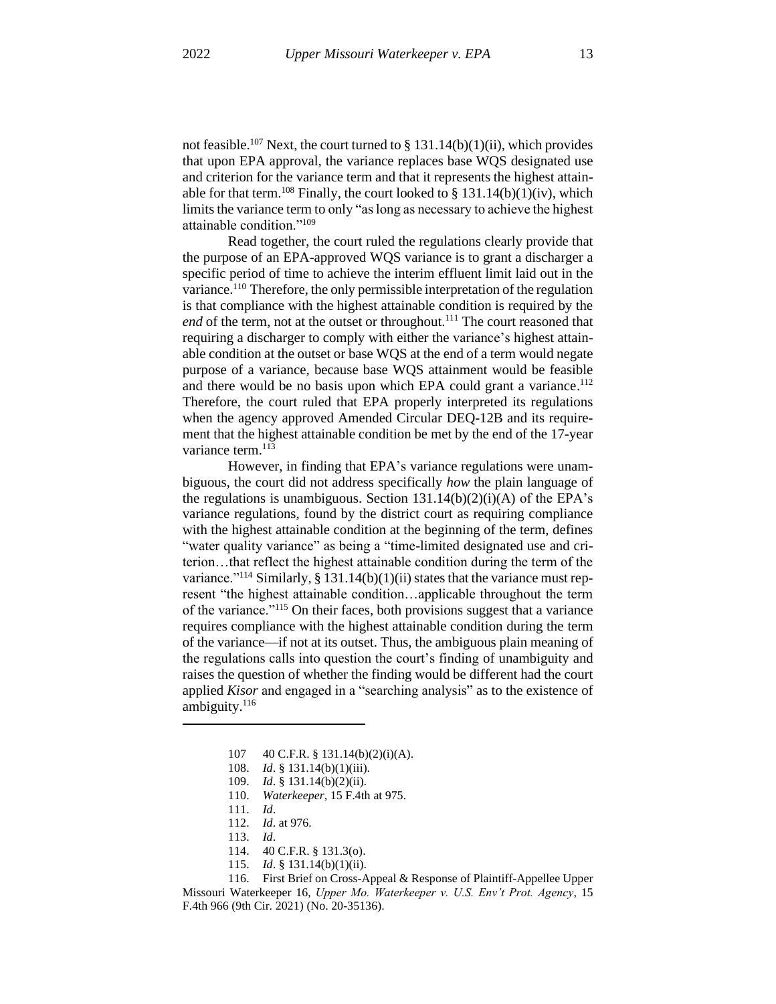not feasible.<sup>107</sup> Next, the court turned to § 131.14(b)(1)(ii), which provides that upon EPA approval, the variance replaces base WQS designated use and criterion for the variance term and that it represents the highest attainable for that term.<sup>108</sup> Finally, the court looked to § 131.14(b)(1)(iv), which limits the variance term to only "as long as necessary to achieve the highest attainable condition."<sup>109</sup>

Read together, the court ruled the regulations clearly provide that the purpose of an EPA-approved WQS variance is to grant a discharger a specific period of time to achieve the interim effluent limit laid out in the variance.<sup>110</sup> Therefore, the only permissible interpretation of the regulation is that compliance with the highest attainable condition is required by the *end* of the term, not at the outset or throughout.<sup>111</sup> The court reasoned that requiring a discharger to comply with either the variance's highest attainable condition at the outset or base WQS at the end of a term would negate purpose of a variance, because base WQS attainment would be feasible and there would be no basis upon which EPA could grant a variance.<sup>112</sup> Therefore, the court ruled that EPA properly interpreted its regulations when the agency approved Amended Circular DEQ-12B and its requirement that the highest attainable condition be met by the end of the 17-year variance term.<sup>113</sup>

However, in finding that EPA's variance regulations were unambiguous, the court did not address specifically *how* the plain language of the regulations is unambiguous. Section  $131.14(b)(2)(i)(A)$  of the EPA's variance regulations, found by the district court as requiring compliance with the highest attainable condition at the beginning of the term, defines "water quality variance" as being a "time-limited designated use and criterion…that reflect the highest attainable condition during the term of the variance."<sup>114</sup> Similarly, § 131.14(b)(1)(ii) states that the variance must represent "the highest attainable condition…applicable throughout the term of the variance."<sup>115</sup> On their faces, both provisions suggest that a variance requires compliance with the highest attainable condition during the term of the variance—if not at its outset. Thus, the ambiguous plain meaning of the regulations calls into question the court's finding of unambiguity and raises the question of whether the finding would be different had the court applied *Kisor* and engaged in a "searching analysis" as to the existence of ambiguity. 116

- 112. *Id*. at 976.
- 113. *Id*.
- 114. 40 C.F.R. § 131.3(o).
- 115. *Id*. § 131.14(b)(1)(ii).

116. First Brief on Cross-Appeal & Response of Plaintiff-Appellee Upper Missouri Waterkeeper 16, *Upper Mo. Waterkeeper v. U.S. Env't Prot. Agency*, 15 F.4th 966 (9th Cir. 2021) (No. 20-35136).

<sup>107</sup> 40 C.F.R. § 131.14(b)(2)(i)(A).

<sup>108.</sup> *Id*. § 131.14(b)(1)(iii).

<sup>109.</sup> *Id*. § 131.14(b)(2)(ii).

<sup>110.</sup> *Waterkeeper*, 15 F.4th at 975.

<sup>111.</sup> *Id*.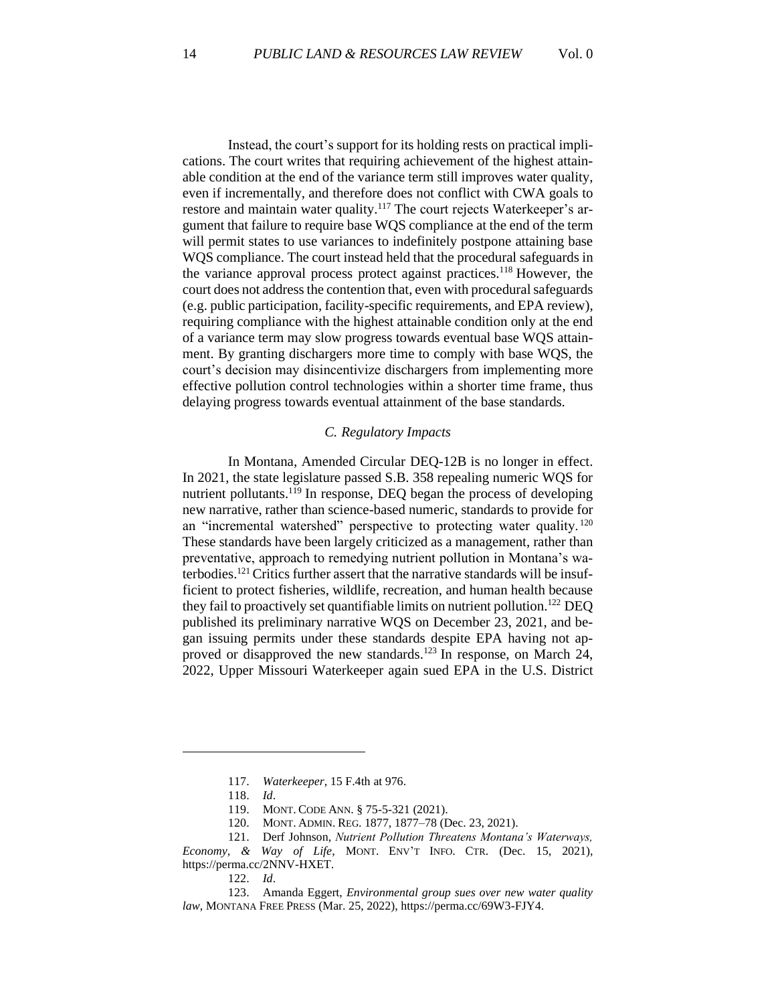Instead, the court's support for its holding rests on practical implications. The court writes that requiring achievement of the highest attainable condition at the end of the variance term still improves water quality, even if incrementally, and therefore does not conflict with CWA goals to restore and maintain water quality.<sup>117</sup> The court rejects Waterkeeper's argument that failure to require base WQS compliance at the end of the term will permit states to use variances to indefinitely postpone attaining base WQS compliance. The court instead held that the procedural safeguards in the variance approval process protect against practices. <sup>118</sup> However, the court does not address the contention that, even with procedural safeguards (e.g. public participation, facility-specific requirements, and EPA review), requiring compliance with the highest attainable condition only at the end of a variance term may slow progress towards eventual base WQS attainment. By granting dischargers more time to comply with base WQS, the court's decision may disincentivize dischargers from implementing more effective pollution control technologies within a shorter time frame, thus delaying progress towards eventual attainment of the base standards.

## *C. Regulatory Impacts*

In Montana, Amended Circular DEQ-12B is no longer in effect. In 2021, the state legislature passed S.B. 358 repealing numeric WQS for nutrient pollutants.<sup>119</sup> In response, DEQ began the process of developing new narrative, rather than science-based numeric, standards to provide for an "incremental watershed" perspective to protecting water quality.  $120$ These standards have been largely criticized as a management, rather than preventative, approach to remedying nutrient pollution in Montana's waterbodies.<sup>121</sup> Critics further assert that the narrative standards will be insufficient to protect fisheries, wildlife, recreation, and human health because they fail to proactively set quantifiable limits on nutrient pollution.<sup>122</sup> DEQ published its preliminary narrative WQS on December 23, 2021, and began issuing permits under these standards despite EPA having not approved or disapproved the new standards.<sup>123</sup> In response, on March 24, 2022, Upper Missouri Waterkeeper again sued EPA in the U.S. District

122. *Id*.

<sup>117.</sup> *Waterkeeper*, 15 F.4th at 976.

<sup>118.</sup> *Id*.

<sup>119.</sup> MONT. CODE ANN. § 75-5-321 (2021).

<sup>120.</sup> MONT. ADMIN. REG. 1877, 1877–78 (Dec. 23, 2021).

<sup>121.</sup> Derf Johnson, *Nutrient Pollution Threatens Montana's Waterways, Economy, & Way of Life*, MONT. ENV'T INFO. CTR. (Dec. 15, 2021), https://perma.cc/2NNV-HXET.

<sup>123.</sup> Amanda Eggert, *Environmental group sues over new water quality law*, MONTANA FREE PRESS (Mar. 25, 2022), https://perma.cc/69W3-FJY4.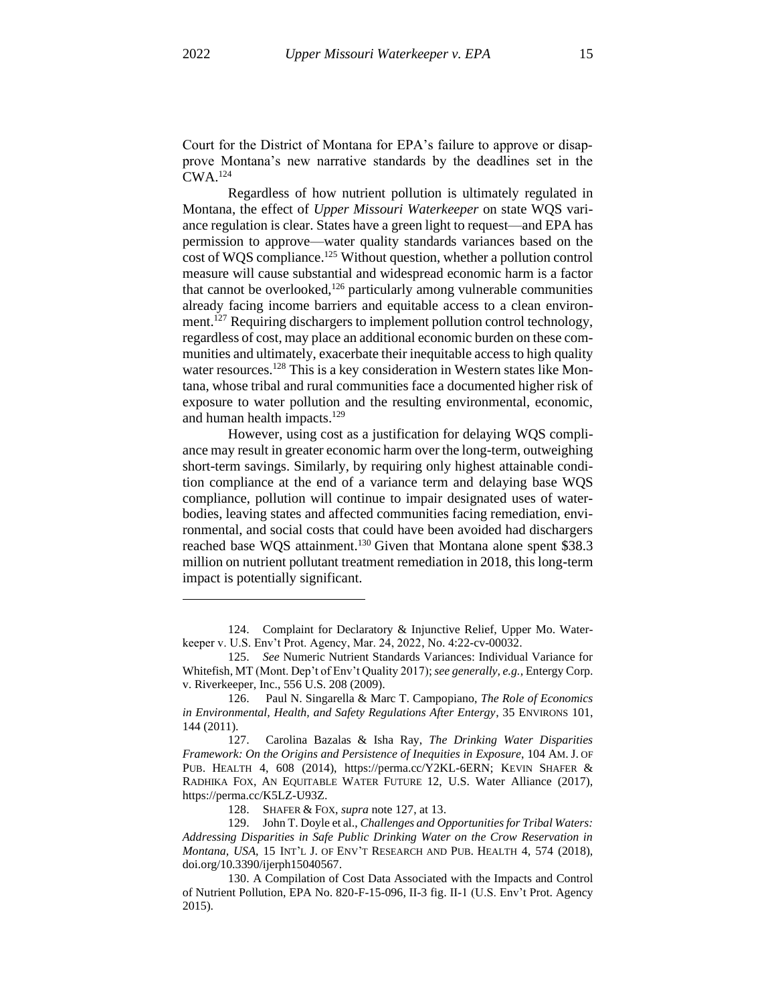Court for the District of Montana for EPA's failure to approve or disapprove Montana's new narrative standards by the deadlines set in the  $\mathrm{CWA}$ <sup>124</sup>

Regardless of how nutrient pollution is ultimately regulated in Montana, the effect of *Upper Missouri Waterkeeper* on state WQS variance regulation is clear. States have a green light to request—and EPA has permission to approve—water quality standards variances based on the cost of WQS compliance.<sup>125</sup> Without question, whether a pollution control measure will cause substantial and widespread economic harm is a factor that cannot be overlooked, $126$  particularly among vulnerable communities already facing income barriers and equitable access to a clean environment.<sup>127</sup> Requiring dischargers to implement pollution control technology, regardless of cost, may place an additional economic burden on these communities and ultimately, exacerbate their inequitable access to high quality water resources.<sup>128</sup> This is a key consideration in Western states like Montana, whose tribal and rural communities face a documented higher risk of exposure to water pollution and the resulting environmental, economic, and human health impacts.<sup>129</sup>

However, using cost as a justification for delaying WQS compliance may result in greater economic harm over the long-term, outweighing short-term savings. Similarly, by requiring only highest attainable condition compliance at the end of a variance term and delaying base WQS compliance, pollution will continue to impair designated uses of waterbodies, leaving states and affected communities facing remediation, environmental, and social costs that could have been avoided had dischargers reached base WQS attainment.<sup>130</sup> Given that Montana alone spent \$38.3 million on nutrient pollutant treatment remediation in 2018, this long-term impact is potentially significant.

128. SHAFER & FOX, *supra* note 127, at 13.

<sup>124.</sup> Complaint for Declaratory & Injunctive Relief, Upper Mo. Waterkeeper v. U.S. Env't Prot. Agency, Mar. 24, 2022, No. 4:22-cv-00032.

<sup>125.</sup> *See* Numeric Nutrient Standards Variances: Individual Variance for Whitefish, MT (Mont. Dep't of Env't Quality 2017); *see generally, e.g.,* Entergy Corp. v. Riverkeeper, Inc., 556 U.S. 208 (2009).

<sup>126.</sup> Paul N. Singarella & Marc T. Campopiano, *The Role of Economics in Environmental, Health, and Safety Regulations After Entergy*, 35 ENVIRONS 101, 144 (2011).

<sup>127.</sup> Carolina Bazalas & Isha Ray, *The Drinking Water Disparities Framework: On the Origins and Persistence of Inequities in Exposure*, 104 AM. J. OF PUB. HEALTH 4, 608 (2014), https://perma.cc/Y2KL-6ERN; KEVIN SHAFER & RADHIKA FOX, AN EQUITABLE WATER FUTURE 12, U.S. Water Alliance (2017), https://perma.cc/K5LZ-U93Z.

<sup>129.</sup> John T. Doyle et al., *Challenges and Opportunities for Tribal Waters: Addressing Disparities in Safe Public Drinking Water on the Crow Reservation in Montana, USA,* 15 INT'L J. OF ENV'T RESEARCH AND PUB. HEALTH 4, 574 (2018), doi.org/10.3390/ijerph15040567.

<sup>130.</sup> A Compilation of Cost Data Associated with the Impacts and Control of Nutrient Pollution, EPA No. 820-F-15-096, II-3 fig. II-1 (U.S. Env't Prot. Agency 2015).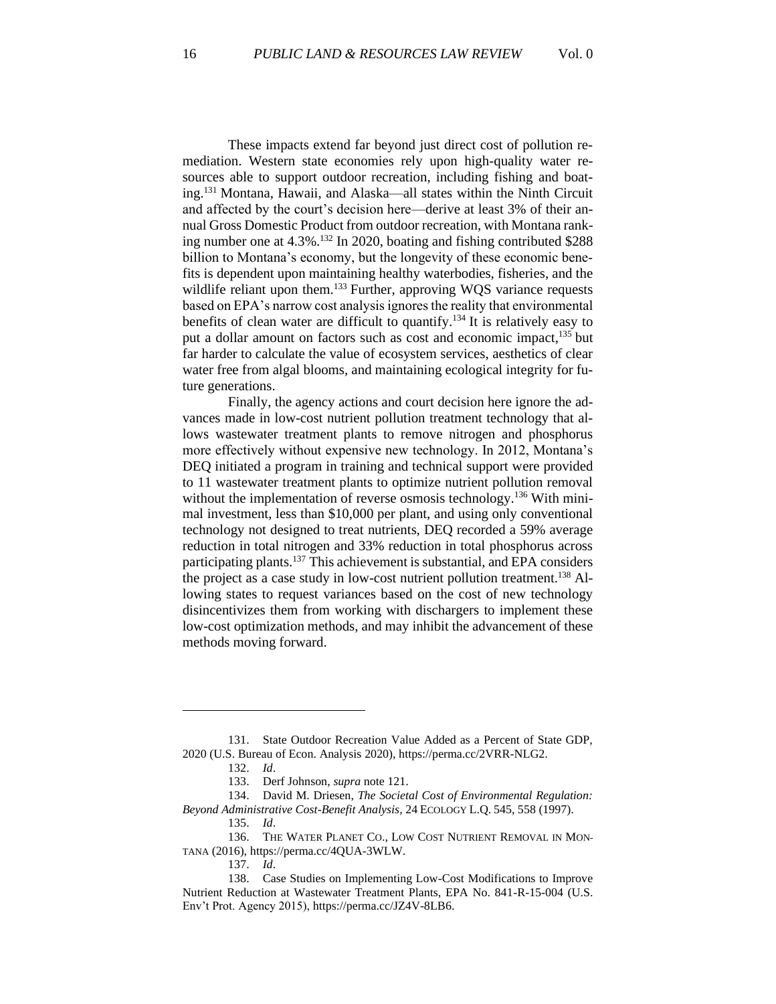These impacts extend far beyond just direct cost of pollution remediation. Western state economies rely upon high-quality water resources able to support outdoor recreation, including fishing and boating.<sup>131</sup> Montana, Hawaii, and Alaska—all states within the Ninth Circuit and affected by the court's decision here—derive at least 3% of their annual Gross Domestic Product from outdoor recreation, with Montana ranking number one at 4.3%. <sup>132</sup> In 2020, boating and fishing contributed \$288 billion to Montana's economy, but the longevity of these economic benefits is dependent upon maintaining healthy waterbodies, fisheries, and the wildlife reliant upon them.<sup>133</sup> Further, approving WQS variance requests based on EPA's narrow cost analysis ignores the reality that environmental benefits of clean water are difficult to quantify.<sup>134</sup> It is relatively easy to put a dollar amount on factors such as cost and economic impact,<sup>135</sup> but far harder to calculate the value of ecosystem services, aesthetics of clear water free from algal blooms, and maintaining ecological integrity for future generations.

Finally, the agency actions and court decision here ignore the advances made in low-cost nutrient pollution treatment technology that allows wastewater treatment plants to remove nitrogen and phosphorus more effectively without expensive new technology. In 2012, Montana's DEQ initiated a program in training and technical support were provided to 11 wastewater treatment plants to optimize nutrient pollution removal without the implementation of reverse osmosis technology.<sup>136</sup> With minimal investment, less than \$10,000 per plant, and using only conventional technology not designed to treat nutrients, DEQ recorded a 59% average reduction in total nitrogen and 33% reduction in total phosphorus across participating plants.<sup>137</sup> This achievement is substantial, and EPA considers the project as a case study in low-cost nutrient pollution treatment.<sup>138</sup> Allowing states to request variances based on the cost of new technology disincentivizes them from working with dischargers to implement these low-cost optimization methods, and may inhibit the advancement of these methods moving forward.

<sup>131.</sup> State Outdoor Recreation Value Added as a Percent of State GDP, 2020 (U.S. Bureau of Econ. Analysis 2020), https://perma.cc/2VRR-NLG2.

<sup>132.</sup> *Id*.

<sup>133.</sup> Derf Johnson, *supra* note 121.

<sup>134.</sup> David M. Driesen, *The Societal Cost of Environmental Regulation: Beyond Administrative Cost-Benefit Analysis*, 24 ECOLOGY L.Q. 545, 558 (1997).

<sup>135.</sup> *Id*.

<sup>136.</sup> THE WATER PLANET CO., LOW COST NUTRIENT REMOVAL IN MON-TANA (2016), https://perma.cc/4QUA-3WLW.

<sup>137.</sup> *Id*.

<sup>138.</sup> Case Studies on Implementing Low-Cost Modifications to Improve Nutrient Reduction at Wastewater Treatment Plants, EPA No. 841-R-15-004 (U.S. Env't Prot. Agency 2015), https://perma.cc/JZ4V-8LB6.